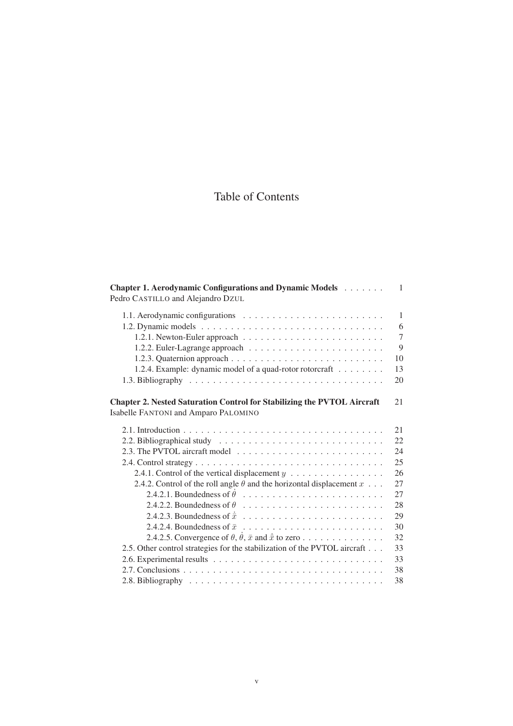# Table of Contents

| Chapter 1. Aerodynamic Configurations and Dynamic Models<br>Pedro CASTILLO and Alejandro DZUL                          | 1              |
|------------------------------------------------------------------------------------------------------------------------|----------------|
|                                                                                                                        | $\mathbf{1}$   |
|                                                                                                                        | 6              |
|                                                                                                                        | $\overline{7}$ |
|                                                                                                                        | 9              |
|                                                                                                                        | 10             |
| 1.2.4. Example: dynamic model of a quad-rotor rotorcraft                                                               | 13             |
|                                                                                                                        | 20             |
| <b>Chapter 2. Nested Saturation Control for Stabilizing the PVTOL Aircraft</b><br>Isabelle FANTONI and Amparo PALOMINO | 21             |
|                                                                                                                        | 21             |
|                                                                                                                        | 22             |
| 2.3. The PVTOL aircraft model $\ldots \ldots \ldots \ldots \ldots \ldots \ldots \ldots \ldots$                         | 24             |
|                                                                                                                        | 25             |
| 2.4.1. Control of the vertical displacement $y \dots \dots \dots \dots \dots$                                          | 26             |
| 2.4.2. Control of the roll angle $\theta$ and the horizontal displacement $x \dots$                                    | 27             |
|                                                                                                                        | 27             |
| 2.4.2.2. Boundedness of $\theta$                                                                                       | 28             |
|                                                                                                                        | 29             |
|                                                                                                                        | 30             |
| 2.4.2.5. Convergence of $\theta$ , $\dot{\theta}$ , $\bar{x}$ and $\dot{\bar{x}}$ to zero                              | 32             |
| 2.5. Other control strategies for the stabilization of the PVTOL aircraft                                              | 33             |
|                                                                                                                        | 33             |
|                                                                                                                        | 38             |
|                                                                                                                        | 38             |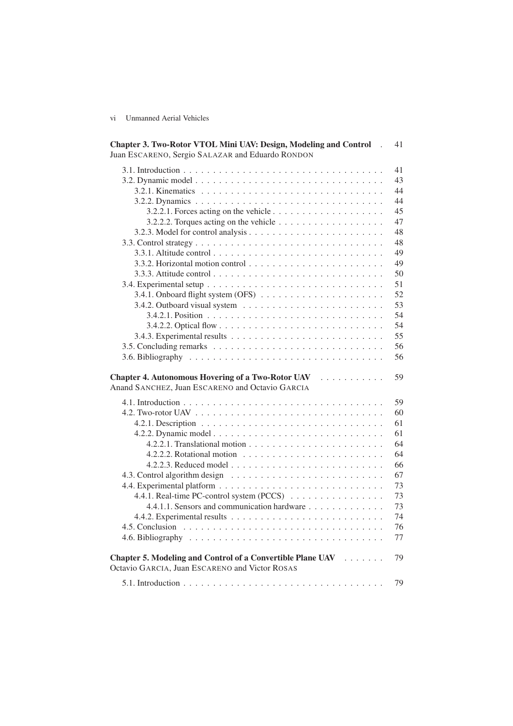vi Unmanned Aerial Vehicles

| Chapter 3. Two-Rotor VTOL Mini UAV: Design, Modeling and Control<br>Juan ESCARENO, Sergio SALAZAR and Eduardo RONDON | 41 |
|----------------------------------------------------------------------------------------------------------------------|----|
|                                                                                                                      | 41 |
|                                                                                                                      | 43 |
|                                                                                                                      | 44 |
|                                                                                                                      | 44 |
| 3.2.2.1. Forces acting on the vehicle $\dots \dots \dots \dots \dots \dots \dots$                                    | 45 |
|                                                                                                                      | 47 |
|                                                                                                                      | 48 |
|                                                                                                                      | 48 |
|                                                                                                                      | 49 |
|                                                                                                                      | 49 |
|                                                                                                                      | 50 |
|                                                                                                                      |    |
|                                                                                                                      | 51 |
|                                                                                                                      | 52 |
|                                                                                                                      | 53 |
|                                                                                                                      | 54 |
|                                                                                                                      | 54 |
|                                                                                                                      | 55 |
|                                                                                                                      | 56 |
|                                                                                                                      | 56 |
| Chapter 4. Autonomous Hovering of a Two-Rotor UAV<br>Anand SANCHEZ, Juan ESCARENO and Octavio GARCIA                 | 59 |
|                                                                                                                      | 59 |
|                                                                                                                      | 60 |
|                                                                                                                      | 61 |
|                                                                                                                      | 61 |
|                                                                                                                      | 64 |
|                                                                                                                      | 64 |
|                                                                                                                      | 66 |
|                                                                                                                      | 67 |
|                                                                                                                      | 73 |
| 4.4.1. Real-time PC-control system (PCCS)                                                                            | 73 |
| 4.4.1.1. Sensors and communication hardware                                                                          | 73 |
|                                                                                                                      | 74 |
|                                                                                                                      |    |
|                                                                                                                      | 76 |
|                                                                                                                      | 77 |
| Chapter 5. Modeling and Control of a Convertible Plane UAV<br>Octavio GARCIA, Juan ESCARENO and Victor ROSAS         | 79 |
|                                                                                                                      | 79 |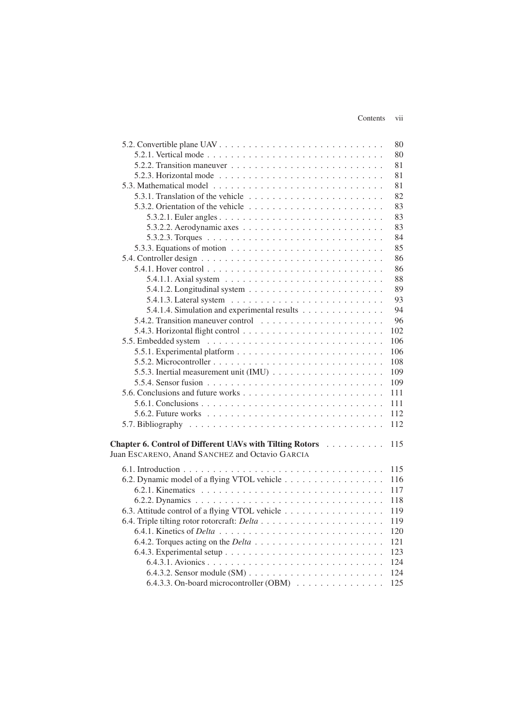#### Contents vii

| 5.2.2. Transition maneuver $\dots \dots \dots \dots \dots \dots \dots \dots \dots \dots$<br>5.2.3. Horizontal mode $\ldots \ldots \ldots \ldots \ldots \ldots \ldots \ldots$<br>5.3.1. Translation of the vehicle $\ldots \ldots \ldots \ldots \ldots \ldots \ldots$<br>5.3.3. Equations of motion $\ldots \ldots \ldots \ldots \ldots \ldots \ldots \ldots$<br>5.4.1. Hover control $\ldots \ldots \ldots \ldots \ldots \ldots \ldots \ldots \ldots \ldots$<br>5.4.1.1. Axial system $\ldots \ldots \ldots \ldots \ldots \ldots \ldots \ldots$<br>5.4.1.2. Longitudinal system $\ldots \ldots \ldots \ldots \ldots \ldots \ldots$<br>5.4.1.4. Simulation and experimental results<br>102<br>109<br>109<br>111<br>111<br>5.6.2. Future works $\ldots \ldots \ldots \ldots \ldots \ldots \ldots \ldots \ldots \ldots$<br>112<br>112<br><b>Chapter 6. Control of Different UAVs with Tilting Rotors</b><br>115<br>$\mathcal{A}$ . The set of the set of the set of the set of the set of the set of the set of the set of the set of the set of the set of the set of the set of the set of the set of the set of the set of the set of the set of t<br>Juan ESCARENO, Anand SANCHEZ and Octavio GARCIA<br>6.2. Dynamic model of a flying VTOL vehicle<br>6.3. Attitude control of a flying VTOL vehicle |                                         | 80  |
|--------------------------------------------------------------------------------------------------------------------------------------------------------------------------------------------------------------------------------------------------------------------------------------------------------------------------------------------------------------------------------------------------------------------------------------------------------------------------------------------------------------------------------------------------------------------------------------------------------------------------------------------------------------------------------------------------------------------------------------------------------------------------------------------------------------------------------------------------------------------------------------------------------------------------------------------------------------------------------------------------------------------------------------------------------------------------------------------------------------------------------------------------------------------------------------------------------------------------------------------------------------------------------------------------------|-----------------------------------------|-----|
|                                                                                                                                                                                                                                                                                                                                                                                                                                                                                                                                                                                                                                                                                                                                                                                                                                                                                                                                                                                                                                                                                                                                                                                                                                                                                                        |                                         | 80  |
|                                                                                                                                                                                                                                                                                                                                                                                                                                                                                                                                                                                                                                                                                                                                                                                                                                                                                                                                                                                                                                                                                                                                                                                                                                                                                                        |                                         | 81  |
|                                                                                                                                                                                                                                                                                                                                                                                                                                                                                                                                                                                                                                                                                                                                                                                                                                                                                                                                                                                                                                                                                                                                                                                                                                                                                                        |                                         | 81  |
|                                                                                                                                                                                                                                                                                                                                                                                                                                                                                                                                                                                                                                                                                                                                                                                                                                                                                                                                                                                                                                                                                                                                                                                                                                                                                                        |                                         | 81  |
|                                                                                                                                                                                                                                                                                                                                                                                                                                                                                                                                                                                                                                                                                                                                                                                                                                                                                                                                                                                                                                                                                                                                                                                                                                                                                                        |                                         | 82  |
|                                                                                                                                                                                                                                                                                                                                                                                                                                                                                                                                                                                                                                                                                                                                                                                                                                                                                                                                                                                                                                                                                                                                                                                                                                                                                                        |                                         | 83  |
|                                                                                                                                                                                                                                                                                                                                                                                                                                                                                                                                                                                                                                                                                                                                                                                                                                                                                                                                                                                                                                                                                                                                                                                                                                                                                                        |                                         | 83  |
|                                                                                                                                                                                                                                                                                                                                                                                                                                                                                                                                                                                                                                                                                                                                                                                                                                                                                                                                                                                                                                                                                                                                                                                                                                                                                                        |                                         | 83  |
|                                                                                                                                                                                                                                                                                                                                                                                                                                                                                                                                                                                                                                                                                                                                                                                                                                                                                                                                                                                                                                                                                                                                                                                                                                                                                                        |                                         | 84  |
|                                                                                                                                                                                                                                                                                                                                                                                                                                                                                                                                                                                                                                                                                                                                                                                                                                                                                                                                                                                                                                                                                                                                                                                                                                                                                                        |                                         | 85  |
|                                                                                                                                                                                                                                                                                                                                                                                                                                                                                                                                                                                                                                                                                                                                                                                                                                                                                                                                                                                                                                                                                                                                                                                                                                                                                                        |                                         | 86  |
|                                                                                                                                                                                                                                                                                                                                                                                                                                                                                                                                                                                                                                                                                                                                                                                                                                                                                                                                                                                                                                                                                                                                                                                                                                                                                                        |                                         | 86  |
|                                                                                                                                                                                                                                                                                                                                                                                                                                                                                                                                                                                                                                                                                                                                                                                                                                                                                                                                                                                                                                                                                                                                                                                                                                                                                                        |                                         | 88  |
|                                                                                                                                                                                                                                                                                                                                                                                                                                                                                                                                                                                                                                                                                                                                                                                                                                                                                                                                                                                                                                                                                                                                                                                                                                                                                                        |                                         | 89  |
|                                                                                                                                                                                                                                                                                                                                                                                                                                                                                                                                                                                                                                                                                                                                                                                                                                                                                                                                                                                                                                                                                                                                                                                                                                                                                                        |                                         | 93  |
|                                                                                                                                                                                                                                                                                                                                                                                                                                                                                                                                                                                                                                                                                                                                                                                                                                                                                                                                                                                                                                                                                                                                                                                                                                                                                                        |                                         | 94  |
|                                                                                                                                                                                                                                                                                                                                                                                                                                                                                                                                                                                                                                                                                                                                                                                                                                                                                                                                                                                                                                                                                                                                                                                                                                                                                                        |                                         | 96  |
|                                                                                                                                                                                                                                                                                                                                                                                                                                                                                                                                                                                                                                                                                                                                                                                                                                                                                                                                                                                                                                                                                                                                                                                                                                                                                                        |                                         |     |
|                                                                                                                                                                                                                                                                                                                                                                                                                                                                                                                                                                                                                                                                                                                                                                                                                                                                                                                                                                                                                                                                                                                                                                                                                                                                                                        |                                         | 106 |
|                                                                                                                                                                                                                                                                                                                                                                                                                                                                                                                                                                                                                                                                                                                                                                                                                                                                                                                                                                                                                                                                                                                                                                                                                                                                                                        |                                         | 106 |
|                                                                                                                                                                                                                                                                                                                                                                                                                                                                                                                                                                                                                                                                                                                                                                                                                                                                                                                                                                                                                                                                                                                                                                                                                                                                                                        |                                         | 108 |
|                                                                                                                                                                                                                                                                                                                                                                                                                                                                                                                                                                                                                                                                                                                                                                                                                                                                                                                                                                                                                                                                                                                                                                                                                                                                                                        |                                         |     |
|                                                                                                                                                                                                                                                                                                                                                                                                                                                                                                                                                                                                                                                                                                                                                                                                                                                                                                                                                                                                                                                                                                                                                                                                                                                                                                        |                                         |     |
|                                                                                                                                                                                                                                                                                                                                                                                                                                                                                                                                                                                                                                                                                                                                                                                                                                                                                                                                                                                                                                                                                                                                                                                                                                                                                                        |                                         |     |
|                                                                                                                                                                                                                                                                                                                                                                                                                                                                                                                                                                                                                                                                                                                                                                                                                                                                                                                                                                                                                                                                                                                                                                                                                                                                                                        |                                         |     |
|                                                                                                                                                                                                                                                                                                                                                                                                                                                                                                                                                                                                                                                                                                                                                                                                                                                                                                                                                                                                                                                                                                                                                                                                                                                                                                        |                                         |     |
|                                                                                                                                                                                                                                                                                                                                                                                                                                                                                                                                                                                                                                                                                                                                                                                                                                                                                                                                                                                                                                                                                                                                                                                                                                                                                                        |                                         |     |
|                                                                                                                                                                                                                                                                                                                                                                                                                                                                                                                                                                                                                                                                                                                                                                                                                                                                                                                                                                                                                                                                                                                                                                                                                                                                                                        |                                         |     |
|                                                                                                                                                                                                                                                                                                                                                                                                                                                                                                                                                                                                                                                                                                                                                                                                                                                                                                                                                                                                                                                                                                                                                                                                                                                                                                        |                                         |     |
|                                                                                                                                                                                                                                                                                                                                                                                                                                                                                                                                                                                                                                                                                                                                                                                                                                                                                                                                                                                                                                                                                                                                                                                                                                                                                                        |                                         |     |
|                                                                                                                                                                                                                                                                                                                                                                                                                                                                                                                                                                                                                                                                                                                                                                                                                                                                                                                                                                                                                                                                                                                                                                                                                                                                                                        |                                         | 115 |
|                                                                                                                                                                                                                                                                                                                                                                                                                                                                                                                                                                                                                                                                                                                                                                                                                                                                                                                                                                                                                                                                                                                                                                                                                                                                                                        |                                         | 116 |
|                                                                                                                                                                                                                                                                                                                                                                                                                                                                                                                                                                                                                                                                                                                                                                                                                                                                                                                                                                                                                                                                                                                                                                                                                                                                                                        |                                         | 117 |
|                                                                                                                                                                                                                                                                                                                                                                                                                                                                                                                                                                                                                                                                                                                                                                                                                                                                                                                                                                                                                                                                                                                                                                                                                                                                                                        |                                         | 118 |
|                                                                                                                                                                                                                                                                                                                                                                                                                                                                                                                                                                                                                                                                                                                                                                                                                                                                                                                                                                                                                                                                                                                                                                                                                                                                                                        |                                         | 119 |
|                                                                                                                                                                                                                                                                                                                                                                                                                                                                                                                                                                                                                                                                                                                                                                                                                                                                                                                                                                                                                                                                                                                                                                                                                                                                                                        |                                         | 119 |
|                                                                                                                                                                                                                                                                                                                                                                                                                                                                                                                                                                                                                                                                                                                                                                                                                                                                                                                                                                                                                                                                                                                                                                                                                                                                                                        |                                         | 120 |
|                                                                                                                                                                                                                                                                                                                                                                                                                                                                                                                                                                                                                                                                                                                                                                                                                                                                                                                                                                                                                                                                                                                                                                                                                                                                                                        |                                         | 121 |
|                                                                                                                                                                                                                                                                                                                                                                                                                                                                                                                                                                                                                                                                                                                                                                                                                                                                                                                                                                                                                                                                                                                                                                                                                                                                                                        |                                         | 123 |
|                                                                                                                                                                                                                                                                                                                                                                                                                                                                                                                                                                                                                                                                                                                                                                                                                                                                                                                                                                                                                                                                                                                                                                                                                                                                                                        |                                         | 124 |
|                                                                                                                                                                                                                                                                                                                                                                                                                                                                                                                                                                                                                                                                                                                                                                                                                                                                                                                                                                                                                                                                                                                                                                                                                                                                                                        |                                         | 124 |
|                                                                                                                                                                                                                                                                                                                                                                                                                                                                                                                                                                                                                                                                                                                                                                                                                                                                                                                                                                                                                                                                                                                                                                                                                                                                                                        | 6.4.3.3. On-board microcontroller (OBM) | 125 |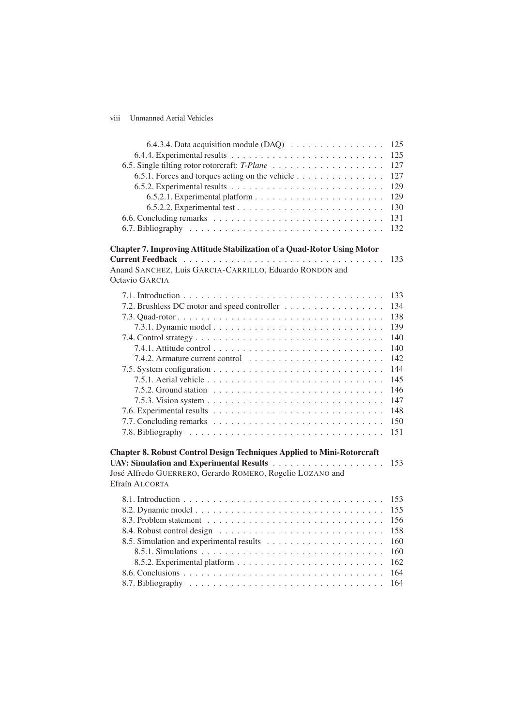## viii Unmanned Aerial Vehicles

| 6.4.3.4. Data acquisition module $(DAQ) \dots \dots \dots \dots \dots \dots$  | 125        |
|-------------------------------------------------------------------------------|------------|
|                                                                               | 125        |
| 6.5.1. Forces and torques acting on the vehicle                               | 127<br>127 |
|                                                                               | 129        |
|                                                                               | 129        |
|                                                                               | 130        |
|                                                                               | 131        |
|                                                                               | 132        |
|                                                                               |            |
| Chapter 7. Improving Attitude Stabilization of a Quad-Rotor Using Motor       |            |
|                                                                               | 133        |
| Anand SANCHEZ, Luis GARCIA-CARRILLO, Eduardo RONDON and<br>Octavio GARCIA     |            |
|                                                                               |            |
|                                                                               | 133        |
| 7.2. Brushless DC motor and speed controller                                  | 134        |
|                                                                               | 138        |
|                                                                               | 139        |
|                                                                               | 140        |
|                                                                               | 140        |
|                                                                               | 142        |
|                                                                               | 144        |
|                                                                               | 145<br>146 |
|                                                                               | 147        |
|                                                                               | 148        |
|                                                                               | 150        |
|                                                                               | 151        |
|                                                                               |            |
| <b>Chapter 8. Robust Control Design Techniques Applied to Mini-Rotorcraft</b> |            |
|                                                                               | 153        |
| José Alfredo GUERRERO, Gerardo ROMERO, Rogelio LOZANO and                     |            |
| Efraín ALCORTA                                                                |            |
|                                                                               | 153        |
|                                                                               | 155        |
|                                                                               | 156        |
|                                                                               | 158        |
|                                                                               | 160        |
|                                                                               | 160        |
|                                                                               | 162        |
|                                                                               | 164        |
|                                                                               | 164        |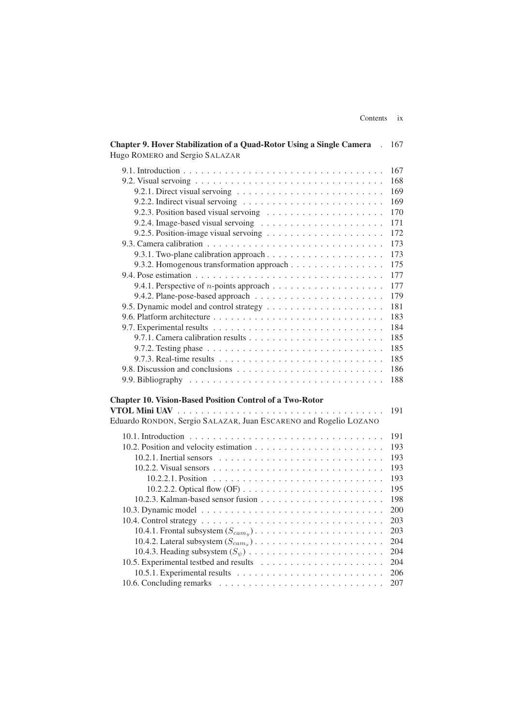| <b>Chapter 9. Hover Stabilization of a Quad-Rotor Using a Single Camera</b> .<br>Hugo ROMERO and Sergio SALAZAR                     | 167 |
|-------------------------------------------------------------------------------------------------------------------------------------|-----|
|                                                                                                                                     | 167 |
|                                                                                                                                     | 168 |
| 9.2.1. Direct visual servoing $\ldots \ldots \ldots \ldots \ldots \ldots \ldots \ldots$                                             | 169 |
|                                                                                                                                     | 169 |
|                                                                                                                                     | 170 |
|                                                                                                                                     | 171 |
|                                                                                                                                     | 172 |
|                                                                                                                                     | 173 |
|                                                                                                                                     |     |
|                                                                                                                                     | 173 |
| 9.3.2. Homogenous transformation approach                                                                                           | 175 |
|                                                                                                                                     | 177 |
|                                                                                                                                     | 177 |
|                                                                                                                                     | 179 |
|                                                                                                                                     | 181 |
|                                                                                                                                     | 183 |
|                                                                                                                                     | 184 |
|                                                                                                                                     | 185 |
|                                                                                                                                     | 185 |
|                                                                                                                                     | 185 |
|                                                                                                                                     | 186 |
|                                                                                                                                     | 188 |
| <b>Chapter 10. Vision-Based Position Control of a Two-Rotor</b><br>Eduardo RONDON, Sergio SALAZAR, Juan ESCARENO and Rogelio LOZANO | 191 |
|                                                                                                                                     |     |
|                                                                                                                                     | 191 |
|                                                                                                                                     | 193 |
|                                                                                                                                     | 193 |
|                                                                                                                                     | 193 |
|                                                                                                                                     | 193 |
| 10.2.2.2. Optical flow (OF) $\ldots \ldots \ldots \ldots \ldots \ldots \ldots \ldots$                                               | 195 |
|                                                                                                                                     | 198 |
|                                                                                                                                     | 200 |
|                                                                                                                                     | 203 |
|                                                                                                                                     | 203 |
|                                                                                                                                     | 204 |
|                                                                                                                                     | 204 |
|                                                                                                                                     | 204 |
|                                                                                                                                     | 206 |
|                                                                                                                                     | 207 |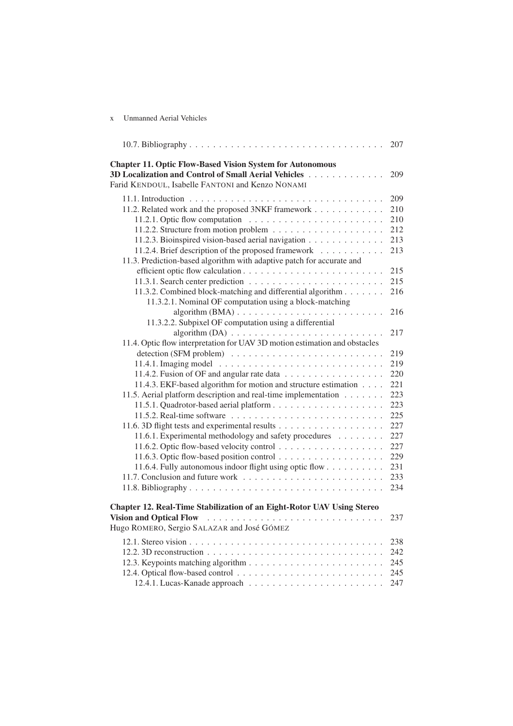### x Unmanned Aerial Vehicles

|                                                                                                                                                                              | 207 |
|------------------------------------------------------------------------------------------------------------------------------------------------------------------------------|-----|
| <b>Chapter 11. Optic Flow-Based Vision System for Autonomous</b><br>3D Localization and Control of Small Aerial Vehicles<br>Farid KENDOUL, Isabelle FANTONI and Kenzo NONAMI | 209 |
|                                                                                                                                                                              | 209 |
| 11.2. Related work and the proposed 3NKF framework                                                                                                                           | 210 |
|                                                                                                                                                                              | 210 |
|                                                                                                                                                                              | 212 |
| 11.2.3. Bioinspired vision-based aerial navigation                                                                                                                           | 213 |
| 11.2.4. Brief description of the proposed framework                                                                                                                          | 213 |
| 11.3. Prediction-based algorithm with adaptive patch for accurate and                                                                                                        |     |
|                                                                                                                                                                              | 215 |
|                                                                                                                                                                              | 215 |
| 11.3.2. Combined block-matching and differential algorithm                                                                                                                   | 216 |
| 11.3.2.1. Nominal OF computation using a block-matching                                                                                                                      |     |
| $algorithm(BMA) \dots \dots \dots \dots \dots \dots \dots \dots \dots \dots \dots$                                                                                           | 216 |
| 11.3.2.2. Subpixel OF computation using a differential                                                                                                                       |     |
| $algorithm (DA) \dots \dots \dots \dots \dots \dots \dots \dots \dots \dots \dots$                                                                                           | 217 |
| 11.4. Optic flow interpretation for UAV 3D motion estimation and obstacles                                                                                                   |     |
|                                                                                                                                                                              | 219 |
|                                                                                                                                                                              | 219 |
| 11.4.2. Fusion of OF and angular rate data                                                                                                                                   | 220 |
| 11.4.3. EKF-based algorithm for motion and structure estimation                                                                                                              | 221 |
| 11.5. Aerial platform description and real-time implementation                                                                                                               | 223 |
|                                                                                                                                                                              | 223 |
|                                                                                                                                                                              | 225 |
|                                                                                                                                                                              | 227 |
| 11.6.1. Experimental methodology and safety procedures                                                                                                                       | 227 |
|                                                                                                                                                                              | 227 |
|                                                                                                                                                                              | 229 |
| 11.6.4. Fully autonomous indoor flight using optic flow                                                                                                                      | 231 |
|                                                                                                                                                                              | 233 |
|                                                                                                                                                                              | 234 |
| Chapter 12. Real-Time Stabilization of an Eight-Rotor UAV Using Stereo                                                                                                       |     |
| Vision and Optical Flow                                                                                                                                                      | 237 |
| Hugo ROMERO, Sergio SALAZAR and José GÓMEZ                                                                                                                                   |     |
|                                                                                                                                                                              | 238 |
| 12.2. 3D reconstruction $\ldots \ldots \ldots \ldots \ldots \ldots \ldots \ldots \ldots \ldots$                                                                              | 242 |
|                                                                                                                                                                              | 245 |
|                                                                                                                                                                              | 245 |
|                                                                                                                                                                              | 247 |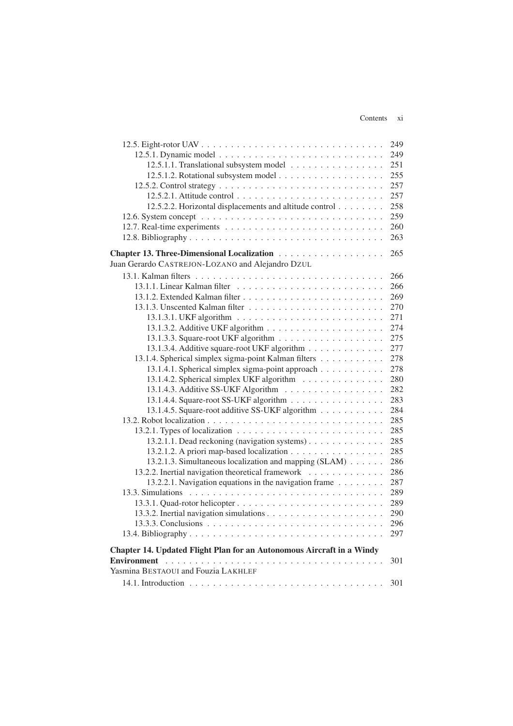### Contents xi

|                                                                                         | 249 |
|-----------------------------------------------------------------------------------------|-----|
|                                                                                         | 249 |
| 12.5.1.1. Translational subsystem model                                                 | 251 |
|                                                                                         | 255 |
|                                                                                         | 257 |
|                                                                                         | 257 |
| 12.5.2.2. Horizontal displacements and altitude control                                 | 258 |
|                                                                                         | 259 |
|                                                                                         | 260 |
|                                                                                         | 263 |
|                                                                                         | 265 |
| Juan Gerardo CASTREJON-LOZANO and Alejandro DZUL                                        |     |
|                                                                                         | 266 |
|                                                                                         | 266 |
|                                                                                         | 269 |
|                                                                                         | 270 |
|                                                                                         | 271 |
|                                                                                         | 274 |
|                                                                                         | 275 |
| 13.1.3.4. Additive square-root UKF algorithm                                            | 277 |
| 13.1.4. Spherical simplex sigma-point Kalman filters                                    | 278 |
| 13.1.4.1. Spherical simplex sigma-point approach                                        | 278 |
| 13.1.4.2. Spherical simplex UKF algorithm                                               | 280 |
|                                                                                         | 282 |
| 13.1.4.4. Square-root SS-UKF algorithm                                                  | 283 |
| 13.1.4.5. Square-root additive SS-UKF algorithm                                         | 284 |
|                                                                                         | 285 |
| 13.2.1. Types of localization $\ldots \ldots \ldots \ldots \ldots \ldots \ldots \ldots$ | 285 |
| 13.2.1.1. Dead reckoning (navigation systems)                                           | 285 |
| 13.2.1.2. A priori map-based localization                                               | 285 |
| 13.2.1.3. Simultaneous localization and mapping (SLAM)                                  | 286 |
| 13.2.2. Inertial navigation theoretical framework                                       | 286 |
| 13.2.2.1. Navigation equations in the navigation frame                                  | 287 |
|                                                                                         | 289 |
|                                                                                         | 289 |
|                                                                                         | 290 |
|                                                                                         | 296 |
|                                                                                         | 297 |
|                                                                                         |     |
| Chapter 14. Updated Flight Plan for an Autonomous Aircraft in a Windy                   | 301 |
| Yasmina BESTAOUI and Fouzia LAKHLEF                                                     |     |
|                                                                                         | 301 |
|                                                                                         |     |